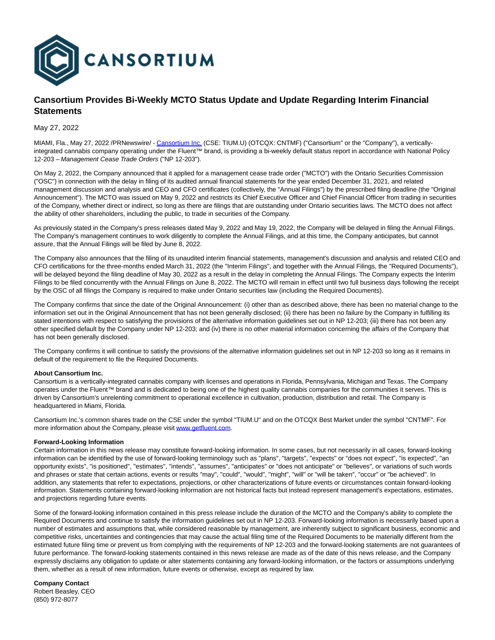

## **Cansortium Provides Bi-Weekly MCTO Status Update and Update Regarding Interim Financial Statements**

May 27, 2022

MIAMI, Fla., May 27, 2022 /PRNewswire/ - [Cansortium Inc. \(](https://c212.net/c/link/?t=0&l=en&o=3550886-1&h=33821967&u=http%3A%2F%2Fwww.getfluent.com%2F&a=Cansortium+Inc.)CSE: TIUM.U) (OTCQX: CNTMF) ("Cansortium" or the "Company"), a verticallyintegrated cannabis company operating under the Fluent™ brand, is providing a bi-weekly default status report in accordance with National Policy 12-203 – Management Cease Trade Orders ("NP 12-203").

On May 2, 2022, the Company announced that it applied for a management cease trade order ("MCTO") with the Ontario Securities Commission ("OSC") in connection with the delay in filing of its audited annual financial statements for the year ended December 31, 2021, and related management discussion and analysis and CEO and CFO certificates (collectively, the "Annual Filings") by the prescribed filing deadline (the "Original Announcement"). The MCTO was issued on May 9, 2022 and restricts its Chief Executive Officer and Chief Financial Officer from trading in securities of the Company, whether direct or indirect, so long as there are filings that are outstanding under Ontario securities laws. The MCTO does not affect the ability of other shareholders, including the public, to trade in securities of the Company.

As previously stated in the Company's press releases dated May 9, 2022 and May 19, 2022, the Company will be delayed in filing the Annual Filings. The Company's management continues to work diligently to complete the Annual Filings, and at this time, the Company anticipates, but cannot assure, that the Annual Filings will be filed by June 8, 2022.

The Company also announces that the filing of its unaudited interim financial statements, management's discussion and analysis and related CEO and CFO certifications for the three-months ended March 31, 2022 (the "Interim Filings", and together with the Annual Filings, the "Required Documents"), will be delayed beyond the filing deadline of May 30, 2022 as a result in the delay in completing the Annual Filings. The Company expects the Interim Filings to be filed concurrently with the Annual Filings on June 8, 2022. The MCTO will remain in effect until two full business days following the receipt by the OSC of all filings the Company is required to make under Ontario securities law (including the Required Documents).

The Company confirms that since the date of the Original Announcement: (i) other than as described above, there has been no material change to the information set out in the Original Announcement that has not been generally disclosed; (ii) there has been no failure by the Company in fulfilling its stated intentions with respect to satisfying the provisions of the alternative information guidelines set out in NP 12-203; (iii) there has not been any other specified default by the Company under NP 12-203; and (iv) there is no other material information concerning the affairs of the Company that has not been generally disclosed.

The Company confirms it will continue to satisfy the provisions of the alternative information guidelines set out in NP 12-203 so long as it remains in default of the requirement to file the Required Documents.

## **About Cansortium Inc.**

Cansortium is a vertically-integrated cannabis company with licenses and operations in Florida, Pennsylvania, Michigan and Texas. The Company operates under the Fluent™ brand and is dedicated to being one of the highest quality cannabis companies for the communities it serves. This is driven by Cansortium's unrelenting commitment to operational excellence in cultivation, production, distribution and retail. The Company is headquartered in Miami, Florida.

Cansortium Inc.'s common shares trade on the CSE under the symbol "TIUM.U" and on the OTCQX Best Market under the symbol "CNTMF". For more information about the Company, please visi[t www.getfluent.com.](https://c212.net/c/link/?t=0&l=en&o=3550886-1&h=2050879381&u=http%3A%2F%2Fwww.getfluent.com%2F&a=www.getfluent.com)

## **Forward-Looking Information**

Certain information in this news release may constitute forward-looking information. In some cases, but not necessarily in all cases, forward-looking information can be identified by the use of forward-looking terminology such as "plans", "targets", "expects" or "does not expect", "is expected", "an opportunity exists", "is positioned", "estimates", "intends", "assumes", "anticipates" or "does not anticipate" or "believes", or variations of such words and phrases or state that certain actions, events or results "may", "could", "would", "might", "will" or "will be taken", "occur" or "be achieved". In addition, any statements that refer to expectations, projections, or other characterizations of future events or circumstances contain forward-looking information. Statements containing forward-looking information are not historical facts but instead represent management's expectations, estimates, and projections regarding future events.

Some of the forward-looking information contained in this press release include the duration of the MCTO and the Company's ability to complete the Required Documents and continue to satisfy the information guidelines set out in NP 12-203. Forward-looking information is necessarily based upon a number of estimates and assumptions that, while considered reasonable by management, are inherently subject to significant business, economic and competitive risks, uncertainties and contingencies that may cause the actual filing time of the Required Documents to be materially different from the estimated future filing time or prevent us from complying with the requirements of NP 12-203 and the forward-looking statements are not guarantees of future performance. The forward-looking statements contained in this news release are made as of the date of this news release, and the Company expressly disclaims any obligation to update or alter statements containing any forward-looking information, or the factors or assumptions underlying them, whether as a result of new information, future events or otherwise, except as required by law.

**Company Contact** Robert Beasley, CEO (850) 972-8077